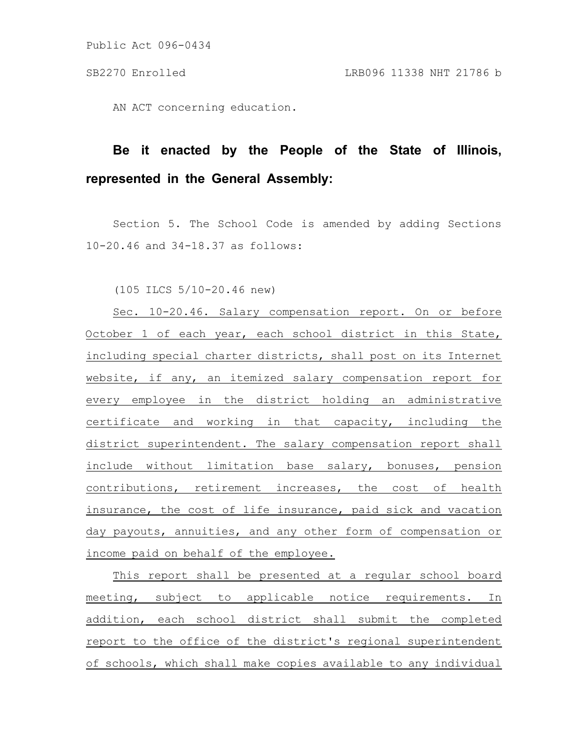Public Act 096-0434

AN ACT concerning education.

## **Be it enacted by the People of the State of Illinois, represented in the General Assembly:**

Section 5. The School Code is amended by adding Sections 10-20.46 and 34-18.37 as follows:

(105 ILCS 5/10-20.46 new)

Sec. 10-20.46. Salary compensation report. On or before October 1 of each year, each school district in this State, including special charter districts, shall post on its Internet website, if any, an itemized salary compensation report for every employee in the district holding an administrative certificate and working in that capacity, including the district superintendent. The salary compensation report shall include without limitation base salary, bonuses, pension contributions, retirement increases, the cost of health insurance, the cost of life insurance, paid sick and vacation day payouts, annuities, and any other form of compensation or income paid on behalf of the employee.

This report shall be presented at a regular school board meeting, subject to applicable notice requirements. In addition, each school district shall submit the completed report to the office of the district's regional superintendent of schools, which shall make copies available to any individual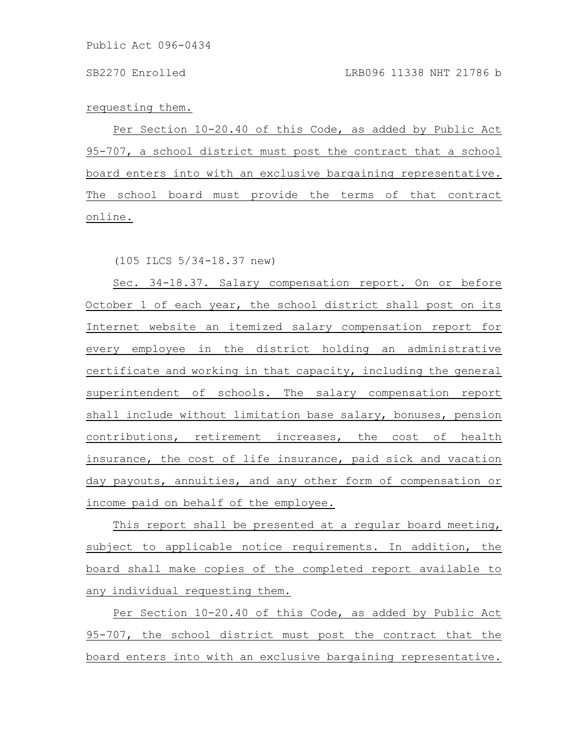requesting them.

Per Section 10-20.40 of this Code, as added by Public Act 95-707, a school district must post the contract that a school board enters into with an exclusive bargaining representative. The school board must provide the terms of that contract online.

(105 ILCS 5/34-18.37 new)

Sec. 34-18.37. Salary compensation report. On or before October 1 of each year, the school district shall post on its Internet website an itemized salary compensation report for every employee in the district holding an administrative certificate and working in that capacity, including the general superintendent of schools. The salary compensation report shall include without limitation base salary, bonuses, pension contributions, retirement increases, the cost of health insurance, the cost of life insurance, paid sick and vacation day payouts, annuities, and any other form of compensation or income paid on behalf of the employee.

This report shall be presented at a regular board meeting, subject to applicable notice requirements. In addition, the board shall make copies of the completed report available to any individual requesting them.

Per Section 10-20.40 of this Code, as added by Public Act 95-707, the school district must post the contract that the board enters into with an exclusive bargaining representative.